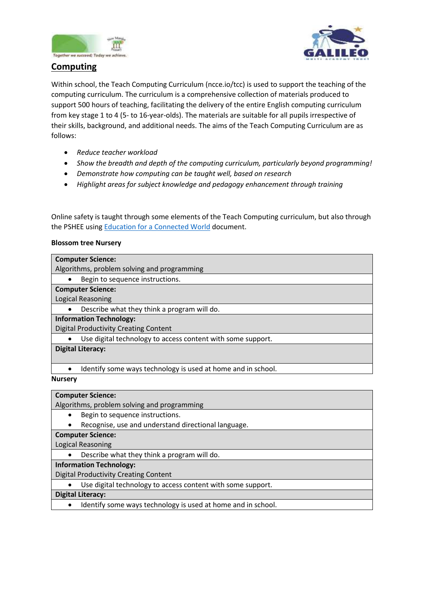



# **Computing**

Within school, the Teach Computing Curriculum (ncce.io/tcc) is used to support the teaching of the computing curriculum. The curriculum is a comprehensive collection of materials produced to support 500 hours of teaching, facilitating the delivery of the entire English computing curriculum from key stage 1 to 4 (5- to 16-year-olds). The materials are suitable for all pupils irrespective of their skills, background, and additional needs. The aims of the Teach Computing Curriculum are as follows:

- *Reduce teacher workload*
- *Show the breadth and depth of the computing curriculum, particularly beyond programming!*
- *Demonstrate how computing can be taught well, based on research*
- *Highlight areas for subject knowledge and pedagogy enhancement through training*

Online safety is taught through some elements of the Teach Computing curriculum, but also through the PSHEE using [Education for a Connected World](https://assets.publishing.service.gov.uk/government/uploads/system/uploads/attachment_data/file/896323/UKCIS_Education_for_a_Connected_World_.pdf) document.

## **Blossom tree Nursery**

| <b>Computer Science:</b>                                                  |
|---------------------------------------------------------------------------|
| Algorithms, problem solving and programming                               |
| Begin to sequence instructions.                                           |
| <b>Computer Science:</b>                                                  |
| Logical Reasoning                                                         |
| Describe what they think a program will do.                               |
| <b>Information Technology:</b>                                            |
| <b>Digital Productivity Creating Content</b>                              |
| Use digital technology to access content with some support.               |
| <b>Digital Literacy:</b>                                                  |
|                                                                           |
| Identify some ways technology is used at home and in school.<br>$\bullet$ |
| <b>Nursery</b>                                                            |

### **Computer Science:**

Algorithms, problem solving and programming

- Begin to sequence instructions.
- Recognise, use and understand directional language.

**Computer Science:**

Logical Reasoning

Describe what they think a program will do.

**Information Technology:**

Digital Productivity Creating Content

Use digital technology to access content with some support.

**Digital Literacy:**

• Identify some ways technology is used at home and in school.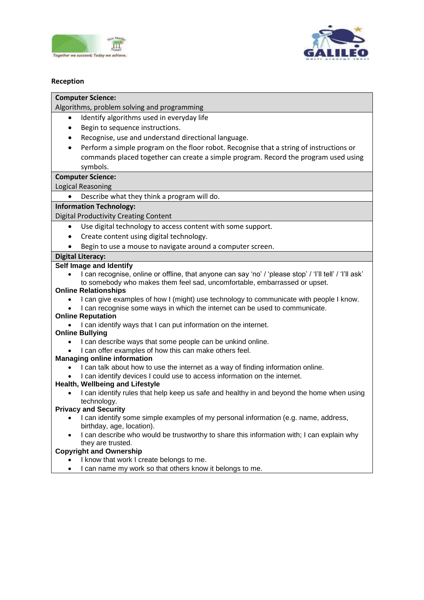



## **Reception**

### **Computer Science:**

Algorithms, problem solving and programming

- Identify algorithms used in everyday life
- Begin to sequence instructions.
- Recognise, use and understand directional language.
- Perform a simple program on the floor robot. Recognise that a string of instructions or commands placed together can create a simple program. Record the program used using symbols.

## **Computer Science:**

Logical Reasoning

Describe what they think a program will do.

### **Information Technology:**

Digital Productivity Creating Content

- Use digital technology to access content with some support.
- Create content using digital technology.
- Begin to use a mouse to navigate around a computer screen.

## **Digital Literacy:**

### **Self Image and Identify**

 I can recognise, online or offline, that anyone can say 'no' / 'please stop' / 'I'll tell' / 'I'll ask' to somebody who makes them feel sad, uncomfortable, embarrassed or upset.

### **Online Relationships**

- I can give examples of how I (might) use technology to communicate with people I know.
- I can recognise some ways in which the internet can be used to communicate.

### **Online Reputation**

• I can identify ways that I can put information on the internet.

### **Online Bullying**

- I can describe ways that some people can be unkind online.
- I can offer examples of how this can make others feel.

### **Managing online information**

- I can talk about how to use the internet as a way of finding information online.
- I can identify devices I could use to access information on the internet.

### **Health, Wellbeing and Lifestyle**

 I can identify rules that help keep us safe and healthy in and beyond the home when using technology.

### **Privacy and Security**

- I can identify some simple examples of my personal information (e.g. name, address, birthday, age, location).
- I can describe who would be trustworthy to share this information with; I can explain why they are trusted.

### **Copyright and Ownership**

- I know that work I create belongs to me.
- I can name my work so that others know it belongs to me.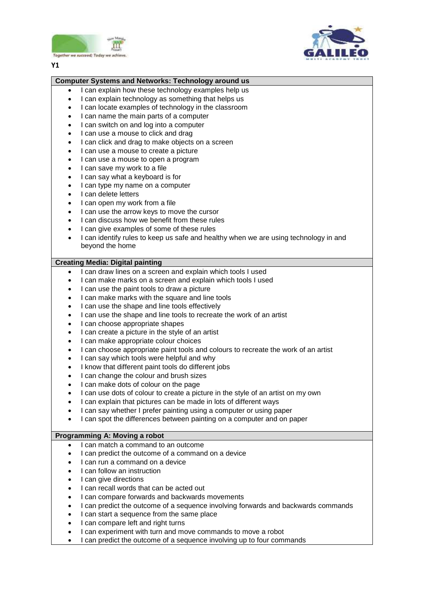



#### **Y1**

#### **Computer Systems and Networks: Technology around us**

- I can explain how these technology examples help us
- I can explain technology as something that helps us
- I can locate examples of technology in the classroom
- I can name the main parts of a computer
- I can switch on and log into a computer
- I can use a mouse to click and drag
- I can click and drag to make objects on a screen
- I can use a mouse to create a picture
- I can use a mouse to open a program
- I can save my work to a file
- I can say what a keyboard is for
- I can type my name on a computer
- I can delete letters
- I can open my work from a file
- I can use the arrow keys to move the cursor
- I can discuss how we benefit from these rules
- I can give examples of some of these rules
- I can identify rules to keep us safe and healthy when we are using technology in and beyond the home

### **Creating Media: Digital painting**

- I can draw lines on a screen and explain which tools I used
- I can make marks on a screen and explain which tools I used
- I can use the paint tools to draw a picture
- I can make marks with the square and line tools
- I can use the shape and line tools effectively
- I can use the shape and line tools to recreate the work of an artist
- I can choose appropriate shapes
- I can create a picture in the style of an artist
- I can make appropriate colour choices
- I can choose appropriate paint tools and colours to recreate the work of an artist
- I can say which tools were helpful and why
- I know that different paint tools do different jobs
- I can change the colour and brush sizes
- I can make dots of colour on the page
- I can use dots of colour to create a picture in the style of an artist on my own
- I can explain that pictures can be made in lots of different ways
- I can say whether I prefer painting using a computer or using paper
- I can spot the differences between painting on a computer and on paper

#### **Programming A: Moving a robot**

- I can match a command to an outcome
- I can predict the outcome of a command on a device
- I can run a command on a device
- I can follow an instruction
- I can give directions
- I can recall words that can be acted out
- I can compare forwards and backwards movements
- I can predict the outcome of a sequence involving forwards and backwards commands
- I can start a sequence from the same place
- I can compare left and right turns
- I can experiment with turn and move commands to move a robot
- I can predict the outcome of a sequence involving up to four commands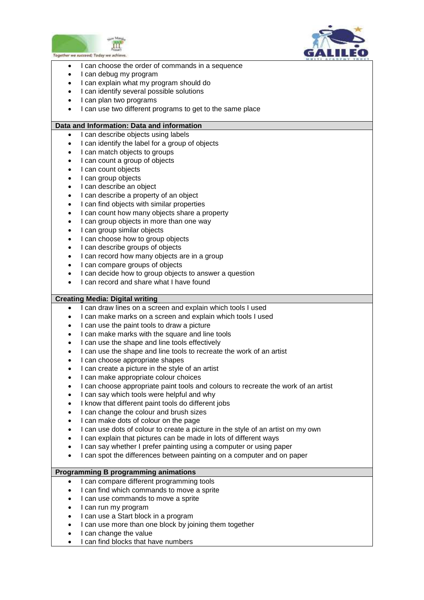



- $\overline{a}$ • I can choose the order of commands in a sequence
- I can debug my program
- I can explain what my program should do
- I can identify several possible solutions
- I can plan two programs
- I can use two different programs to get to the same place

### **Data and Information: Data and information**

- I can describe objects using labels
- I can identify the label for a group of objects
- I can match objects to groups
- I can count a group of objects
- I can count objects
- I can group objects
- I can describe an object
- I can describe a property of an object
- I can find objects with similar properties
- I can count how many objects share a property
- I can group objects in more than one way
- I can group similar objects
- I can choose how to group objects
- I can describe groups of objects
- I can record how many objects are in a group
- I can compare groups of objects
- I can decide how to group objects to answer a question
- I can record and share what I have found

### **Creating Media: Digital writing**

- I can draw lines on a screen and explain which tools I used
- I can make marks on a screen and explain which tools I used
- I can use the paint tools to draw a picture
- I can make marks with the square and line tools
- I can use the shape and line tools effectively
- I can use the shape and line tools to recreate the work of an artist
- I can choose appropriate shapes
- I can create a picture in the style of an artist
- I can make appropriate colour choices
- I can choose appropriate paint tools and colours to recreate the work of an artist
- I can say which tools were helpful and why
- I know that different paint tools do different jobs
- I can change the colour and brush sizes
- I can make dots of colour on the page
- I can use dots of colour to create a picture in the style of an artist on my own
- I can explain that pictures can be made in lots of different ways
- I can say whether I prefer painting using a computer or using paper
- I can spot the differences between painting on a computer and on paper

## **Programming B programming animations**

- I can compare different programming tools
- I can find which commands to move a sprite
- I can use commands to move a sprite
- I can run my program
- I can use a Start block in a program
- I can use more than one block by joining them together
- I can change the value
- I can find blocks that have numbers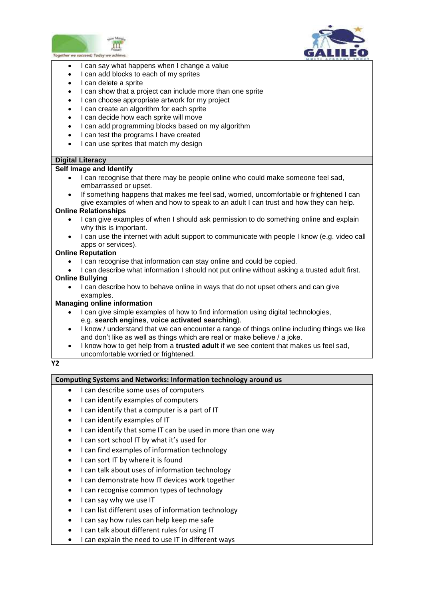



- $\overline{a}$ • I can say what happens when I change a value
- I can add blocks to each of my sprites
- I can delete a sprite
- I can show that a project can include more than one sprite
- I can choose appropriate artwork for my project
- I can create an algorithm for each sprite
- I can decide how each sprite will move
- I can add programming blocks based on my algorithm
- I can test the programs I have created
- I can use sprites that match my design

### **Digital Literacy**

### **Self Image and Identify**

- I can recognise that there may be people online who could make someone feel sad, embarrassed or upset.
- If something happens that makes me feel sad, worried, uncomfortable or frightened I can give examples of when and how to speak to an adult I can trust and how they can help.

### **Online Relationships**

- I can give examples of when I should ask permission to do something online and explain why this is important.
- I can use the internet with adult support to communicate with people I know (e.g. video call apps or services).

### **Online Reputation**

- I can recognise that information can stay online and could be copied.
- I can describe what information I should not put online without asking a trusted adult first. **Online Bullying**
	- I can describe how to behave online in ways that do not upset others and can give examples.

### **Managing online information**

- I can give simple examples of how to find information using digital technologies, e.g. **search engines**, **voice activated searching**).
- I know / understand that we can encounter a range of things online including things we like and don't like as well as things which are real or make believe / a joke.
- I know how to get help from a **trusted adult** if we see content that makes us feel sad, uncomfortable worried or frightened.

### **Y2**

### **Computing Systems and Networks: Information technology around us**

- I can describe some uses of computers
- I can identify examples of computers
- I can identify that a computer is a part of IT
- I can identify examples of IT
- I can identify that some IT can be used in more than one way
- I can sort school IT by what it's used for
- I can find examples of information technology
- I can sort IT by where it is found
- I can talk about uses of information technology
- I can demonstrate how IT devices work together
- I can recognise common types of technology
- I can say why we use IT
- I can list different uses of information technology
- I can say how rules can help keep me safe
- I can talk about different rules for using IT
- I can explain the need to use IT in different ways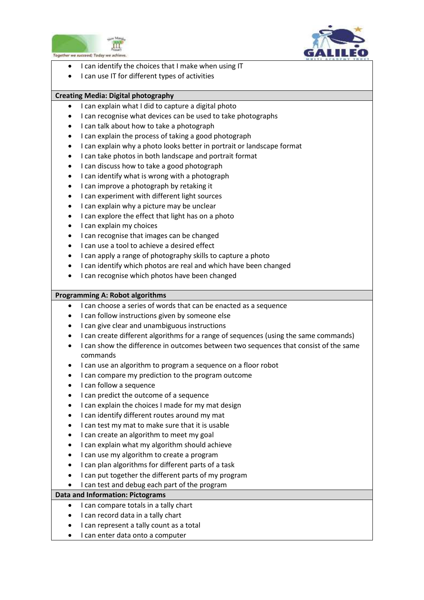



- $\overline{a}$ I can identify the choices that I make when using IT
- I can use IT for different types of activities

## **Creating Media: Digital photography**

- I can explain what I did to capture a digital photo
- I can recognise what devices can be used to take photographs
- I can talk about how to take a photograph
- I can explain the process of taking a good photograph
- I can explain why a photo looks better in portrait or landscape format
- I can take photos in both landscape and portrait format
- I can discuss how to take a good photograph
- I can identify what is wrong with a photograph
- I can improve a photograph by retaking it
- I can experiment with different light sources
- I can explain why a picture may be unclear
- I can explore the effect that light has on a photo
- I can explain my choices
- I can recognise that images can be changed
- I can use a tool to achieve a desired effect
- I can apply a range of photography skills to capture a photo
- I can identify which photos are real and which have been changed
- I can recognise which photos have been changed

### **Programming A: Robot algorithms**

- I can choose a series of words that can be enacted as a sequence
- I can follow instructions given by someone else
- I can give clear and unambiguous instructions
- I can create different algorithms for a range of sequences (using the same commands)
- I can show the difference in outcomes between two sequences that consist of the same commands
- I can use an algorithm to program a sequence on a floor robot
- I can compare my prediction to the program outcome
- I can follow a sequence
- I can predict the outcome of a sequence
- I can explain the choices I made for my mat design
- I can identify different routes around my mat
- I can test my mat to make sure that it is usable
- I can create an algorithm to meet my goal
- I can explain what my algorithm should achieve
- I can use my algorithm to create a program
- I can plan algorithms for different parts of a task
- I can put together the different parts of my program
- I can test and debug each part of the program

### **Data and Information: Pictograms**

- I can compare totals in a tally chart
- I can record data in a tally chart
- I can represent a tally count as a total
- I can enter data onto a computer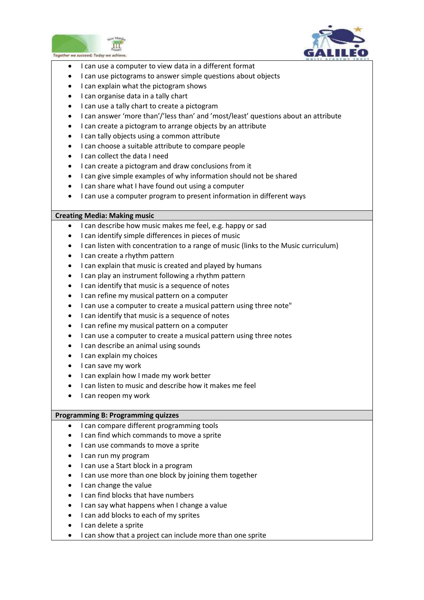



- $\overline{a}$ I can use a computer to view data in a different format
- I can use pictograms to answer simple questions about objects
- I can explain what the pictogram shows
- I can organise data in a tally chart
- I can use a tally chart to create a pictogram
- I can answer 'more than'/'less than' and 'most/least' questions about an attribute
- I can create a pictogram to arrange objects by an attribute
- I can tally objects using a common attribute
- I can choose a suitable attribute to compare people
- I can collect the data I need
- I can create a pictogram and draw conclusions from it
- I can give simple examples of why information should not be shared
- I can share what I have found out using a computer
- I can use a computer program to present information in different ways

### **Creating Media: Making music**

- I can describe how music makes me feel, e.g. happy or sad
- I can identify simple differences in pieces of music
- I can listen with concentration to a range of music (links to the Music curriculum)
- I can create a rhythm pattern
- I can explain that music is created and played by humans
- I can play an instrument following a rhythm pattern
- I can identify that music is a sequence of notes
- I can refine my musical pattern on a computer
- I can use a computer to create a musical pattern using three note"
- I can identify that music is a sequence of notes
- I can refine my musical pattern on a computer
- I can use a computer to create a musical pattern using three notes
- I can describe an animal using sounds
- I can explain my choices
- I can save my work
- I can explain how I made my work better
- I can listen to music and describe how it makes me feel
- I can reopen my work

### **Programming B: Programming quizzes**

- I can compare different programming tools
- I can find which commands to move a sprite
- I can use commands to move a sprite
- I can run my program
- I can use a Start block in a program
- I can use more than one block by joining them together
- $\bullet$  I can change the value
- I can find blocks that have numbers
- I can say what happens when I change a value
- I can add blocks to each of my sprites
- I can delete a sprite
- I can show that a project can include more than one sprite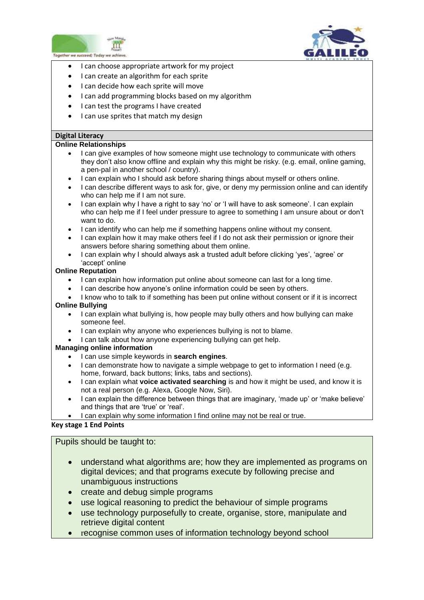



- $\overline{a}$ I can choose appropriate artwork for my project
- I can create an algorithm for each sprite
- I can decide how each sprite will move
- I can add programming blocks based on my algorithm
- I can test the programs I have created
- I can use sprites that match my design

### **Digital Literacy**

### **Online Relationships**

- I can give examples of how someone might use technology to communicate with others they don't also know offline and explain why this might be risky. (e.g. email, online gaming, a pen-pal in another school / country).
- I can explain who I should ask before sharing things about myself or others online.
- I can describe different ways to ask for, give, or deny my permission online and can identify who can help me if I am not sure.
- I can explain why I have a right to say 'no' or 'I will have to ask someone'. I can explain who can help me if I feel under pressure to agree to something I am unsure about or don't want to do.
- I can identify who can help me if something happens online without my consent.
- I can explain how it may make others feel if I do not ask their permission or ignore their answers before sharing something about them online.
- I can explain why I should always ask a trusted adult before clicking 'yes', 'agree' or 'accept' online

### **Online Reputation**

- I can explain how information put online about someone can last for a long time.
- I can describe how anyone's online information could be seen by others.
- I know who to talk to if something has been put online without consent or if it is incorrect

### **Online Bullying**

- I can explain what bullying is, how people may bully others and how bullying can make someone feel.
- I can explain why anyone who experiences bullying is not to blame.
- I can talk about how anyone experiencing bullying can get help.

### **Managing online information**

- I can use simple keywords in **search engines**.
- I can demonstrate how to navigate a simple webpage to get to information I need (e.g. home, forward, back buttons; links, tabs and sections).
- I can explain what **voice activated searching** is and how it might be used, and know it is not a real person (e.g. Alexa, Google Now, Siri).
- I can explain the difference between things that are imaginary, 'made up' or 'make believe' and things that are 'true' or 'real'.
- I can explain why some information I find online may not be real or true.

## **Key stage 1 End Points**

## Pupils should be taught to:

- understand what algorithms are; how they are implemented as programs on digital devices; and that programs execute by following precise and unambiguous instructions
- create and debug simple programs
- use logical reasoning to predict the behaviour of simple programs
- use technology purposefully to create, organise, store, manipulate and retrieve digital content
- recognise common uses of information technology beyond school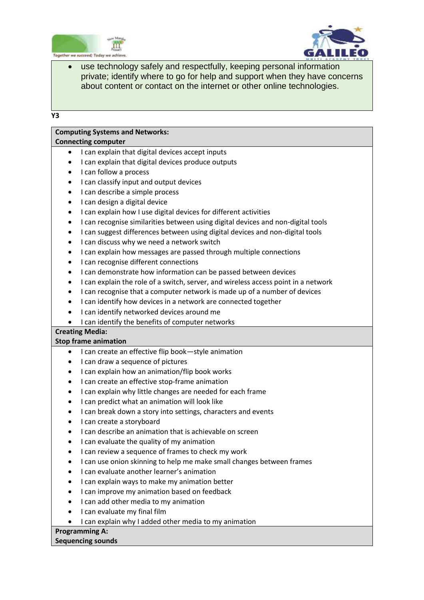



 use technology safely and respectfully, keeping personal information private; identify where to go for help and support when they have concerns about content or contact on the internet or other online technologies.

**Y3**

## **Computing Systems and Networks:**

### **Connecting computer**

- I can explain that digital devices accept inputs
- I can explain that digital devices produce outputs
- I can follow a process
- I can classify input and output devices
- I can describe a simple process
- I can design a digital device
- I can explain how I use digital devices for different activities
- I can recognise similarities between using digital devices and non-digital tools
- I can suggest differences between using digital devices and non-digital tools
- I can discuss why we need a network switch
- I can explain how messages are passed through multiple connections
- I can recognise different connections
- I can demonstrate how information can be passed between devices
- I can explain the role of a switch, server, and wireless access point in a network
- I can recognise that a computer network is made up of a number of devices
- I can identify how devices in a network are connected together
- I can identify networked devices around me
- I can identify the benefits of computer networks

### **Creating Media:**

### **Stop frame animation**

- I can create an effective flip book—style animation
- I can draw a sequence of pictures
- I can explain how an animation/flip book works
- I can create an effective stop-frame animation
- I can explain why little changes are needed for each frame
- I can predict what an animation will look like
- I can break down a story into settings, characters and events
- I can create a storyboard
- I can describe an animation that is achievable on screen
- I can evaluate the quality of my animation
- I can review a sequence of frames to check my work
- I can use onion skinning to help me make small changes between frames
- I can evaluate another learner's animation
- I can explain ways to make my animation better
- I can improve my animation based on feedback
- I can add other media to my animation
- I can evaluate my final film
- I can explain why I added other media to my animation

## **Programming A:**

### **Sequencing sounds**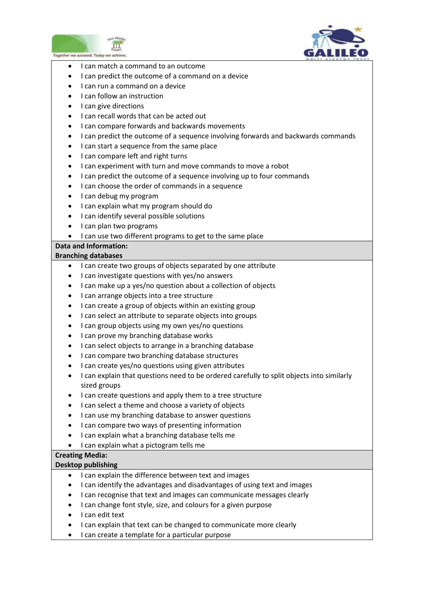



- I can match a command to an outcome
- I can predict the outcome of a command on a device
- I can run a command on a device
- I can follow an instruction
- I can give directions
- I can recall words that can be acted out
- I can compare forwards and backwards movements
- I can predict the outcome of a sequence involving forwards and backwards commands
- I can start a sequence from the same place
- I can compare left and right turns
- I can experiment with turn and move commands to move a robot
- I can predict the outcome of a sequence involving up to four commands
- I can choose the order of commands in a sequence
- I can debug my program
- I can explain what my program should do
- I can identify several possible solutions
- I can plan two programs
- I can use two different programs to get to the same place

## **Data and Information:**

## **Branching databases**

- I can create two groups of objects separated by one attribute
- I can investigate questions with yes/no answers
- I can make up a yes/no question about a collection of objects
- I can arrange objects into a tree structure
- I can create a group of objects within an existing group
- I can select an attribute to separate objects into groups
- $\bullet$  I can group objects using my own yes/no questions
- I can prove my branching database works
- I can select objects to arrange in a branching database
- I can compare two branching database structures
- I can create yes/no questions using given attributes
- I can explain that questions need to be ordered carefully to split objects into similarly sized groups
- I can create questions and apply them to a tree structure
- I can select a theme and choose a variety of objects
- I can use my branching database to answer questions
- I can compare two ways of presenting information
- I can explain what a branching database tells me
- I can explain what a pictogram tells me

## **Creating Media:**

### **Desktop publishing**

- I can explain the difference between text and images
- I can identify the advantages and disadvantages of using text and images
- I can recognise that text and images can communicate messages clearly
- I can change font style, size, and colours for a given purpose
- I can edit text
- I can explain that text can be changed to communicate more clearly
- I can create a template for a particular purpose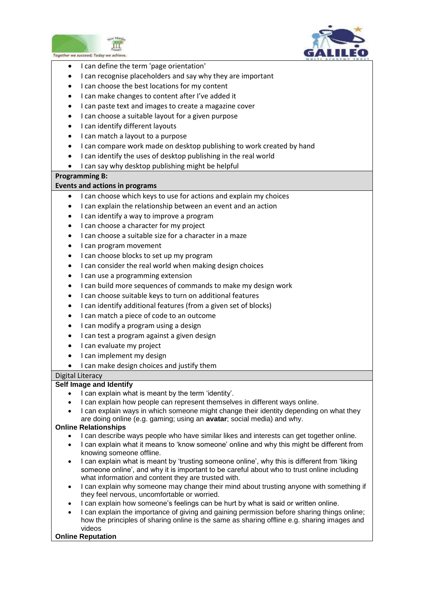



- $\overline{a}$ I can define the term 'page orientation'
- I can recognise placeholders and say why they are important
- I can choose the best locations for my content
- I can make changes to content after I've added it
- I can paste text and images to create a magazine cover
- I can choose a suitable layout for a given purpose
- I can identify different layouts
- I can match a layout to a purpose
- I can compare work made on desktop publishing to work created by hand
- I can identify the uses of desktop publishing in the real world
- I can say why desktop publishing might be helpful

### **Programming B:**

### **Events and actions in programs**

- I can choose which keys to use for actions and explain my choices
- I can explain the relationship between an event and an action
- I can identify a way to improve a program
- I can choose a character for my project
- I can choose a suitable size for a character in a maze
- I can program movement
- I can choose blocks to set up my program
- I can consider the real world when making design choices
- I can use a programming extension
- I can build more sequences of commands to make my design work
- I can choose suitable keys to turn on additional features
- I can identify additional features (from a given set of blocks)
- I can match a piece of code to an outcome
- I can modify a program using a design
- I can test a program against a given design
- I can evaluate my project
- I can implement my design
- I can make design choices and justify them

## Digital Literacy

## **Self Image and Identify**

- I can explain what is meant by the term 'identity'.
- I can explain how people can represent themselves in different ways online.
- I can explain ways in which someone might change their identity depending on what they are doing online (e.g. gaming; using an **avatar**; social media) and why.

### **Online Relationships**

- I can describe ways people who have similar likes and interests can get together online.
- I can explain what it means to 'know someone' online and why this might be different from knowing someone offline.
- I can explain what is meant by 'trusting someone online', why this is different from 'liking someone online', and why it is important to be careful about who to trust online including what information and content they are trusted with.
- I can explain why someone may change their mind about trusting anyone with something if they feel nervous, uncomfortable or worried.
- I can explain how someone's feelings can be hurt by what is said or written online.
- I can explain the importance of giving and gaining permission before sharing things online; how the principles of sharing online is the same as sharing offline e.g. sharing images and videos

### **Online Reputation**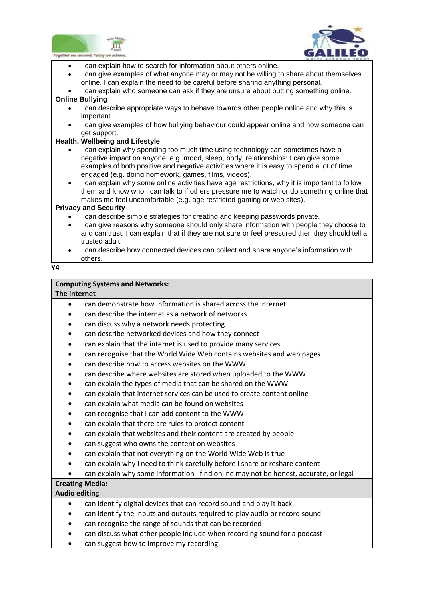



- $\overline{a}$ • I can explain how to search for information about others online.
- I can give examples of what anyone may or may not be willing to share about themselves online. I can explain the need to be careful before sharing anything personal.
- I can explain who someone can ask if they are unsure about putting something online.

### **Online Bullying**

- I can describe appropriate ways to behave towards other people online and why this is important.
- I can give examples of how bullying behaviour could appear online and how someone can get support.

### **Health, Wellbeing and Lifestyle**

- I can explain why spending too much time using technology can sometimes have a negative impact on anyone, e.g. mood, sleep, body, relationships; I can give some examples of both positive and negative activities where it is easy to spend a lot of time engaged (e.g. doing homework, games, films, videos).
- I can explain why some online activities have age restrictions, why it is important to follow them and know who I can talk to if others pressure me to watch or do something online that makes me feel uncomfortable (e.g. age restricted gaming or web sites).

### **Privacy and Security**

- I can describe simple strategies for creating and keeping passwords private.
- I can give reasons why someone should only share information with people they choose to and can trust. I can explain that if they are not sure or feel pressured then they should tell a trusted adult.
- I can describe how connected devices can collect and share anyone's information with others.

### **Y4**

## **Computing Systems and Networks:**

## **The internet**

- I can demonstrate how information is shared across the internet
- I can describe the internet as a network of networks
- I can discuss why a network needs protecting
- I can describe networked devices and how they connect
- I can explain that the internet is used to provide many services
- I can recognise that the World Wide Web contains websites and web pages
- I can describe how to access websites on the WWW
- I can describe where websites are stored when uploaded to the WWW
- I can explain the types of media that can be shared on the WWW
- I can explain that internet services can be used to create content online
- I can explain what media can be found on websites
- I can recognise that I can add content to the WWW
- I can explain that there are rules to protect content
- I can explain that websites and their content are created by people
- I can suggest who owns the content on websites
- I can explain that not everything on the World Wide Web is true
- I can explain why I need to think carefully before I share or reshare content
- I can explain why some information I find online may not be honest, accurate, or legal

# **Creating Media:**

# **Audio editing**

- I can identify digital devices that can record sound and play it back
- I can identify the inputs and outputs required to play audio or record sound
- I can recognise the range of sounds that can be recorded
- I can discuss what other people include when recording sound for a podcast
- I can suggest how to improve my recording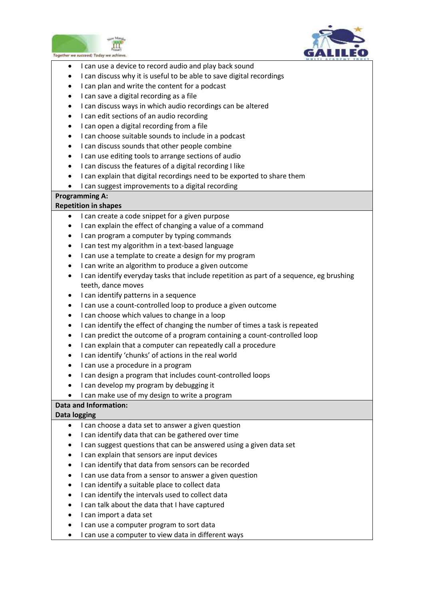



- $\overline{a}$ I can use a device to record audio and play back sound
- I can discuss why it is useful to be able to save digital recordings
- I can plan and write the content for a podcast
- I can save a digital recording as a file
- I can discuss ways in which audio recordings can be altered
- I can edit sections of an audio recording
- I can open a digital recording from a file
- I can choose suitable sounds to include in a podcast
- I can discuss sounds that other people combine
- I can use editing tools to arrange sections of audio
- I can discuss the features of a digital recording I like
- I can explain that digital recordings need to be exported to share them
- I can suggest improvements to a digital recording

# **Programming A:**

### **Repetition in shapes**

- I can create a code snippet for a given purpose
- I can explain the effect of changing a value of a command
- I can program a computer by typing commands
- I can test my algorithm in a text-based language
- I can use a template to create a design for my program
- I can write an algorithm to produce a given outcome
- I can identify everyday tasks that include repetition as part of a sequence, eg brushing teeth, dance moves
- I can identify patterns in a sequence
- I can use a count-controlled loop to produce a given outcome
- I can choose which values to change in a loop
- I can identify the effect of changing the number of times a task is repeated
- I can predict the outcome of a program containing a count-controlled loop
- I can explain that a computer can repeatedly call a procedure
- I can identify 'chunks' of actions in the real world
- I can use a procedure in a program
- I can design a program that includes count-controlled loops
- I can develop my program by debugging it
- I can make use of my design to write a program

### **Data and Information:**

### **Data logging**

- I can choose a data set to answer a given question
- I can identify data that can be gathered over time
- I can suggest questions that can be answered using a given data set
- I can explain that sensors are input devices
- I can identify that data from sensors can be recorded
- I can use data from a sensor to answer a given question
- I can identify a suitable place to collect data
- I can identify the intervals used to collect data
- I can talk about the data that I have captured
- I can import a data set
- I can use a computer program to sort data
- I can use a computer to view data in different ways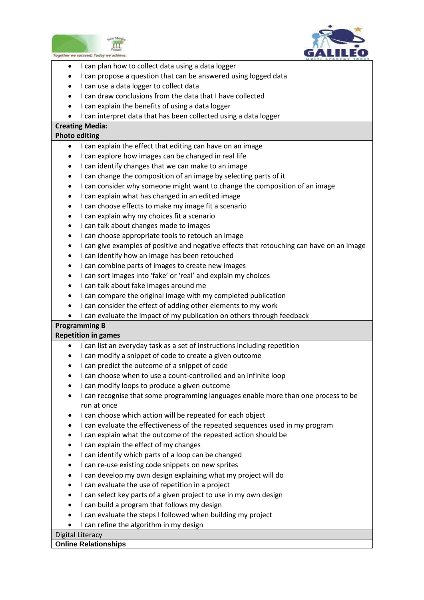



- $\overline{a}$ I can plan how to collect data using a data logger
- I can propose a question that can be answered using logged data
- I can use a data logger to collect data
- I can draw conclusions from the data that I have collected
- I can explain the benefits of using a data logger
- I can interpret data that has been collected using a data logger

# **Creating Media:**

## **Photo editing**

- I can explain the effect that editing can have on an image
- I can explore how images can be changed in real life
- I can identify changes that we can make to an image
- I can change the composition of an image by selecting parts of it
- I can consider why someone might want to change the composition of an image
- I can explain what has changed in an edited image
- I can choose effects to make my image fit a scenario
- I can explain why my choices fit a scenario
- I can talk about changes made to images
- I can choose appropriate tools to retouch an image
- I can give examples of positive and negative effects that retouching can have on an image
- I can identify how an image has been retouched
- I can combine parts of images to create new images
- I can sort images into 'fake' or 'real' and explain my choices
- I can talk about fake images around me
- I can compare the original image with my completed publication
- I can consider the effect of adding other elements to my work
- I can evaluate the impact of my publication on others through feedback

## **Programming B**

### **Repetition in games**

- I can list an everyday task as a set of instructions including repetition
- I can modify a snippet of code to create a given outcome
- I can predict the outcome of a snippet of code
- I can choose when to use a count-controlled and an infinite loop
- I can modify loops to produce a given outcome
- I can recognise that some programming languages enable more than one process to be run at once
- I can choose which action will be repeated for each object
- I can evaluate the effectiveness of the repeated sequences used in my program
- I can explain what the outcome of the repeated action should be
- I can explain the effect of my changes
- I can identify which parts of a loop can be changed
- I can re-use existing code snippets on new sprites
- I can develop my own design explaining what my project will do
- I can evaluate the use of repetition in a project
- I can select key parts of a given project to use in my own design
- I can build a program that follows my design
- I can evaluate the steps I followed when building my project
- I can refine the algorithm in my design

### Digital Literacy

### **Online Relationships**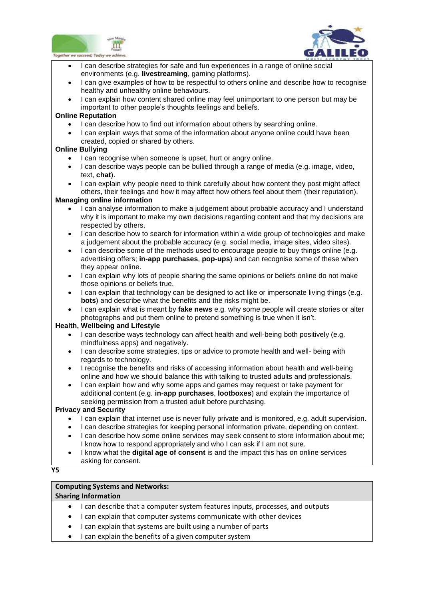![](_page_14_Picture_0.jpeg)

![](_page_14_Picture_1.jpeg)

- I can describe strategies for safe and fun experiences in a range of online social environments (e.g. **livestreaming**, gaming platforms).
- I can give examples of how to be respectful to others online and describe how to recognise healthy and unhealthy online behaviours.
- I can explain how content shared online may feel unimportant to one person but may be important to other people's thoughts feelings and beliefs.

### **Online Reputation**

- I can describe how to find out information about others by searching online.
- I can explain ways that some of the information about anyone online could have been created, copied or shared by others.

### **Online Bullying**

- I can recognise when someone is upset, hurt or angry online.
- I can describe ways people can be bullied through a range of media (e.g. image, video, text, **chat**).
- I can explain why people need to think carefully about how content they post might affect others, their feelings and how it may affect how others feel about them (their reputation).

### **Managing online information**

- I can analyse information to make a judgement about probable accuracy and I understand why it is important to make my own decisions regarding content and that my decisions are respected by others.
- I can describe how to search for information within a wide group of technologies and make a judgement about the probable accuracy (e.g. social media, image sites, video sites).
- I can describe some of the methods used to encourage people to buy things online (e.g. advertising offers; **in-app purchases**, **pop-ups**) and can recognise some of these when they appear online.
- I can explain why lots of people sharing the same opinions or beliefs online do not make those opinions or beliefs true.
- I can explain that technology can be designed to act like or impersonate living things (e.g. **bots**) and describe what the benefits and the risks might be.
- I can explain what is meant by **fake news** e.g. why some people will create stories or alter photographs and put them online to pretend something is true when it isn't.

### **Health, Wellbeing and Lifestyle**

- I can describe ways technology can affect health and well-being both positively (e.g. mindfulness apps) and negatively.
- I can describe some strategies, tips or advice to promote health and well- being with regards to technology.
- I recognise the benefits and risks of accessing information about health and well-being online and how we should balance this with talking to trusted adults and professionals.
- I can explain how and why some apps and games may request or take payment for additional content (e.g. **in-app purchases**, **lootboxes**) and explain the importance of seeking permission from a trusted adult before purchasing.

### **Privacy and Security**

- I can explain that internet use is never fully private and is monitored, e.g. adult supervision.
- I can describe strategies for keeping personal information private, depending on context.
- I can describe how some online services may seek consent to store information about me; I know how to respond appropriately and who I can ask if I am not sure.
- I know what the **digital age of consent** is and the impact this has on online services asking for consent.

### **Y5**

# **Computing Systems and Networks:**

## **Sharing Information**

- I can describe that a computer system features inputs, processes, and outputs
- I can explain that computer systems communicate with other devices
- I can explain that systems are built using a number of parts
- I can explain the benefits of a given computer system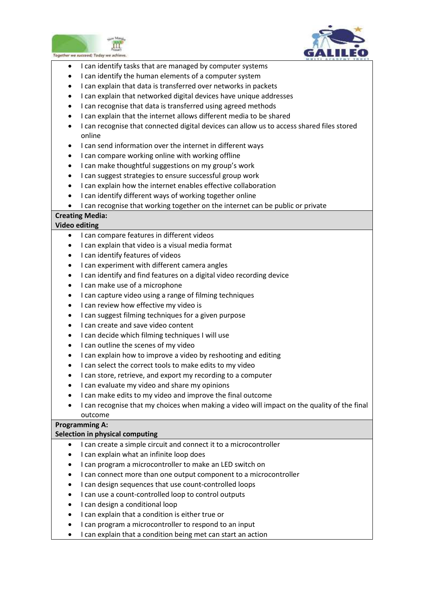![](_page_15_Picture_0.jpeg)

![](_page_15_Picture_1.jpeg)

- $\overline{a}$ I can identify tasks that are managed by computer systems
- I can identify the human elements of a computer system
- I can explain that data is transferred over networks in packets
- I can explain that networked digital devices have unique addresses
- I can recognise that data is transferred using agreed methods
- I can explain that the internet allows different media to be shared
- I can recognise that connected digital devices can allow us to access shared files stored online
- I can send information over the internet in different ways
- I can compare working online with working offline
- I can make thoughtful suggestions on my group's work
- I can suggest strategies to ensure successful group work
- I can explain how the internet enables effective collaboration
- I can identify different ways of working together online
- I can recognise that working together on the internet can be public or private

## **Creating Media:**

### **Video editing**

- I can compare features in different videos
- I can explain that video is a visual media format
- I can identify features of videos
- I can experiment with different camera angles
- I can identify and find features on a digital video recording device
- I can make use of a microphone
- I can capture video using a range of filming techniques
- I can review how effective my video is
- I can suggest filming techniques for a given purpose
- I can create and save video content
- I can decide which filming techniques I will use
- I can outline the scenes of my video
- I can explain how to improve a video by reshooting and editing
- I can select the correct tools to make edits to my video
- I can store, retrieve, and export my recording to a computer
- I can evaluate my video and share my opinions
- I can make edits to my video and improve the final outcome
- I can recognise that my choices when making a video will impact on the quality of the final outcome

## **Programming A:**

### **Selection in physical computing**

- I can create a simple circuit and connect it to a microcontroller
- I can explain what an infinite loop does
- I can program a microcontroller to make an LED switch on
- I can connect more than one output component to a microcontroller
- I can design sequences that use count-controlled loops
- I can use a count-controlled loop to control outputs
- I can design a conditional loop
- I can explain that a condition is either true or
- I can program a microcontroller to respond to an input
- I can explain that a condition being met can start an action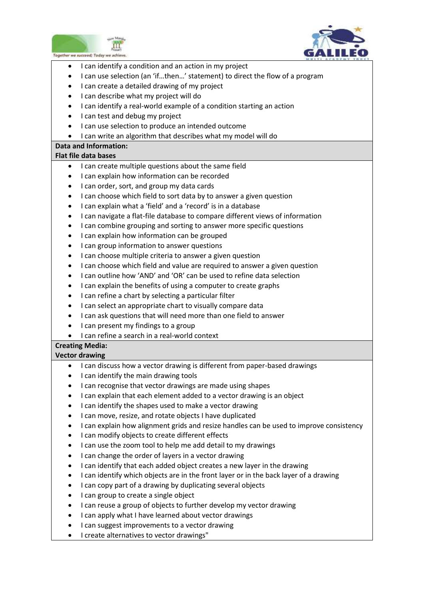![](_page_16_Picture_0.jpeg)

![](_page_16_Picture_1.jpeg)

- $\overline{a}$ I can identify a condition and an action in my project
- I can use selection (an 'if…then…' statement) to direct the flow of a program
- I can create a detailed drawing of my project
- I can describe what my project will do
- I can identify a real-world example of a condition starting an action
- I can test and debug my project
- I can use selection to produce an intended outcome
- I can write an algorithm that describes what my model will do

### **Data and Information:**

## **Flat file data bases**

- I can create multiple questions about the same field
- I can explain how information can be recorded
- I can order, sort, and group my data cards
- I can choose which field to sort data by to answer a given question
- I can explain what a 'field' and a 'record' is in a database
- I can navigate a flat-file database to compare different views of information
- I can combine grouping and sorting to answer more specific questions
- I can explain how information can be grouped
- I can group information to answer questions
- I can choose multiple criteria to answer a given question
- I can choose which field and value are required to answer a given question
- I can outline how 'AND' and 'OR' can be used to refine data selection
- I can explain the benefits of using a computer to create graphs
- I can refine a chart by selecting a particular filter
- I can select an appropriate chart to visually compare data
- I can ask questions that will need more than one field to answer
- I can present my findings to a group
- I can refine a search in a real-world context

## **Creating Media:**

### **Vector drawing**

- I can discuss how a vector drawing is different from paper-based drawings
- I can identify the main drawing tools
- I can recognise that vector drawings are made using shapes
- I can explain that each element added to a vector drawing is an object
- I can identify the shapes used to make a vector drawing
- I can move, resize, and rotate objects I have duplicated
- I can explain how alignment grids and resize handles can be used to improve consistency
- I can modify objects to create different effects
- I can use the zoom tool to help me add detail to my drawings
- I can change the order of layers in a vector drawing
- I can identify that each added object creates a new layer in the drawing
- I can identify which objects are in the front layer or in the back layer of a drawing
- I can copy part of a drawing by duplicating several objects
- I can group to create a single object
- I can reuse a group of objects to further develop my vector drawing
- I can apply what I have learned about vector drawings
- I can suggest improvements to a vector drawing
- I create alternatives to vector drawings"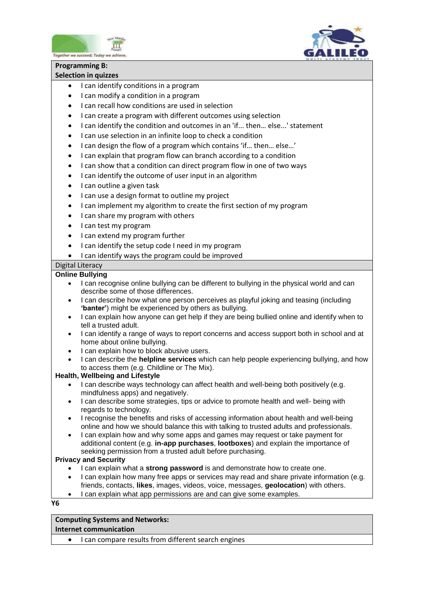![](_page_17_Picture_0.jpeg)

![](_page_17_Picture_1.jpeg)

# **Programming B:**

## **Selection in quizzes**

- I can identify conditions in a program
- I can modify a condition in a program
- I can recall how conditions are used in selection
- I can create a program with different outcomes using selection
- I can identify the condition and outcomes in an 'if... then… else...' statement
- I can use selection in an infinite loop to check a condition
- I can design the flow of a program which contains 'if… then… else…'
- I can explain that program flow can branch according to a condition
- I can show that a condition can direct program flow in one of two ways
- I can identify the outcome of user input in an algorithm
- I can outline a given task
- I can use a design format to outline my project
- I can implement my algorithm to create the first section of my program
- I can share my program with others
- I can test my program
- I can extend my program further
- I can identify the setup code I need in my program
- I can identify ways the program could be improved

## Digital Literacy

## **Online Bullying**

- I can recognise online bullying can be different to bullying in the physical world and can describe some of those differences.
- I can describe how what one person perceives as playful joking and teasing (including **'banter'**) might be experienced by others as bullying.
- I can explain how anyone can get help if they are being bullied online and identify when to tell a trusted adult.
- I can identify a range of ways to report concerns and access support both in school and at home about online bullying.
- I can explain how to block abusive users.
- I can describe the **helpline services** which can help people experiencing bullying, and how to access them (e.g. Childline or The Mix).

## **Health, Wellbeing and Lifestyle**

- I can describe ways technology can affect health and well-being both positively (e.g. mindfulness apps) and negatively.
- I can describe some strategies, tips or advice to promote health and well- being with regards to technology.
- I recognise the benefits and risks of accessing information about health and well-being online and how we should balance this with talking to trusted adults and professionals.
- I can explain how and why some apps and games may request or take payment for additional content (e.g. **in-app purchases**, **lootboxes**) and explain the importance of seeking permission from a trusted adult before purchasing.

### **Privacy and Security**

- I can explain what a **strong password** is and demonstrate how to create one.
- I can explain how many free apps or services may read and share private information (e.g. friends, contacts, **likes**, images, videos, voice, messages, **geolocation**) with others.
- I can explain what app permissions are and can give some examples.

### **Y6**

# **Computing Systems and Networks:**

### **Internet communication**

• I can compare results from different search engines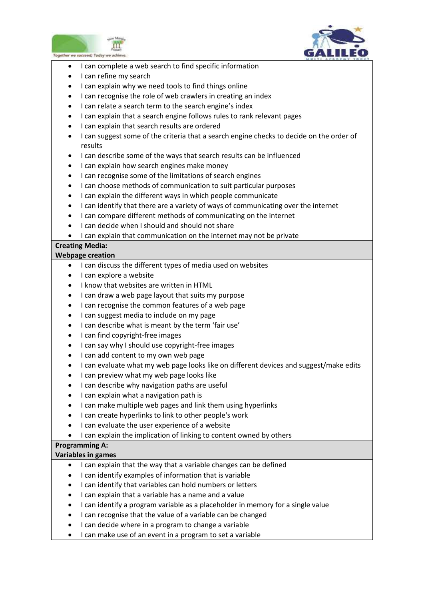![](_page_18_Picture_0.jpeg)

![](_page_18_Picture_1.jpeg)

- $\overline{a}$ I can complete a web search to find specific information
- I can refine my search
- I can explain why we need tools to find things online
- I can recognise the role of web crawlers in creating an index
- I can relate a search term to the search engine's index
- I can explain that a search engine follows rules to rank relevant pages
- I can explain that search results are ordered
- I can suggest some of the criteria that a search engine checks to decide on the order of results
- I can describe some of the ways that search results can be influenced
- I can explain how search engines make money
- I can recognise some of the limitations of search engines
- I can choose methods of communication to suit particular purposes
- I can explain the different ways in which people communicate
- I can identify that there are a variety of ways of communicating over the internet
- I can compare different methods of communicating on the internet
- I can decide when I should and should not share
- I can explain that communication on the internet may not be private

# **Creating Media:**

### **Webpage creation**

- I can discuss the different types of media used on websites
- $\bullet$  I can explore a website
- I know that websites are written in HTML
- I can draw a web page layout that suits my purpose
- I can recognise the common features of a web page
- I can suggest media to include on my page
- I can describe what is meant by the term 'fair use'
- I can find copyright-free images
- I can say why I should use copyright-free images
- I can add content to my own web page
- I can evaluate what my web page looks like on different devices and suggest/make edits
- I can preview what my web page looks like
- I can describe why navigation paths are useful
- I can explain what a navigation path is
- I can make multiple web pages and link them using hyperlinks
- I can create hyperlinks to link to other people's work
- I can evaluate the user experience of a website
- I can explain the implication of linking to content owned by others

### **Programming A:**

### **Variables in games**

- I can explain that the way that a variable changes can be defined
- I can identify examples of information that is variable
- I can identify that variables can hold numbers or letters
- I can explain that a variable has a name and a value
- I can identify a program variable as a placeholder in memory for a single value
- I can recognise that the value of a variable can be changed
- I can decide where in a program to change a variable
- I can make use of an event in a program to set a variable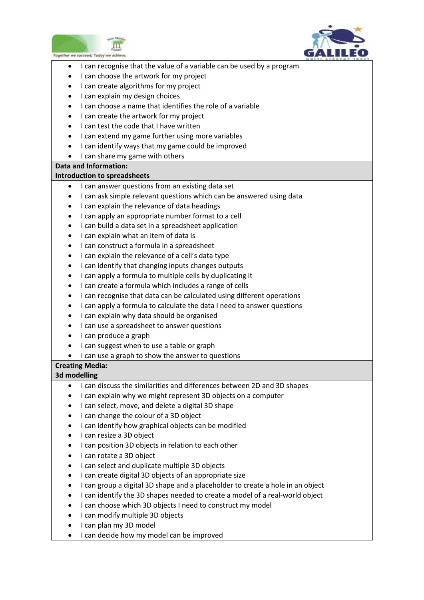![](_page_19_Picture_0.jpeg)

![](_page_19_Picture_1.jpeg)

- $\overline{a}$ • I can recognise that the value of a variable can be used by a program
- I can choose the artwork for my project
- I can create algorithms for my project
- I can explain my design choices
- I can choose a name that identifies the role of a variable
- I can create the artwork for my project
- I can test the code that I have written
- I can extend my game further using more variables
- I can identify ways that my game could be improved
- $\bullet$  I can share my game with others

### **Data and Information:**

### **Introduction to spreadsheets**

- I can answer questions from an existing data set
- I can ask simple relevant questions which can be answered using data
- I can explain the relevance of data headings
- I can apply an appropriate number format to a cell
- I can build a data set in a spreadsheet application
- I can explain what an item of data is
- I can construct a formula in a spreadsheet
- I can explain the relevance of a cell's data type
- I can identify that changing inputs changes outputs
- I can apply a formula to multiple cells by duplicating it
- I can create a formula which includes a range of cells
- I can recognise that data can be calculated using different operations
- I can apply a formula to calculate the data I need to answer questions
- I can explain why data should be organised
- I can use a spreadsheet to answer questions
- I can produce a graph
- I can suggest when to use a table or graph
- I can use a graph to show the answer to questions

## **Creating Media:**

## **3d modelling**

- I can discuss the similarities and differences between 2D and 3D shapes
- I can explain why we might represent 3D objects on a computer
- I can select, move, and delete a digital 3D shape
- I can change the colour of a 3D object
- I can identify how graphical objects can be modified
- I can resize a 3D object
- I can position 3D objects in relation to each other
- I can rotate a 3D object
- I can select and duplicate multiple 3D objects
- I can create digital 3D objects of an appropriate size
- I can group a digital 3D shape and a placeholder to create a hole in an object
- I can identify the 3D shapes needed to create a model of a real-world object
- I can choose which 3D objects I need to construct my model
- I can modify multiple 3D objects
- I can plan my 3D model
- I can decide how my model can be improved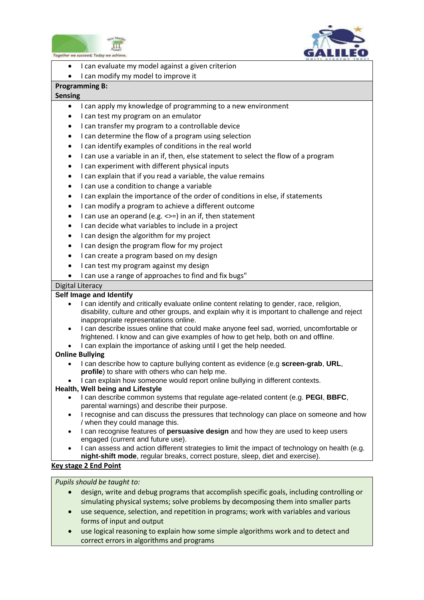![](_page_20_Picture_0.jpeg)

![](_page_20_Picture_1.jpeg)

- $\overline{a}$ I can evaluate my model against a given criterion
- I can modify my model to improve it

## **Programming B:**

## **Sensing**

- I can apply my knowledge of programming to a new environment
- I can test my program on an emulator
- I can transfer my program to a controllable device
- I can determine the flow of a program using selection
- I can identify examples of conditions in the real world
- I can use a variable in an if, then, else statement to select the flow of a program
- I can experiment with different physical inputs
- I can explain that if you read a variable, the value remains
- I can use a condition to change a variable
- I can explain the importance of the order of conditions in else, if statements
- I can modify a program to achieve a different outcome
- I can use an operand (e.g.  $\le$  =) in an if, then statement
- I can decide what variables to include in a project
- I can design the algorithm for my project
- I can design the program flow for my project
- I can create a program based on my design
- I can test my program against my design
- I can use a range of approaches to find and fix bugs"

# Digital Literacy

## **Self Image and Identify**

- I can identify and critically evaluate online content relating to gender, race, religion, disability, culture and other groups, and explain why it is important to challenge and reject inappropriate representations online.
- I can describe issues online that could make anyone feel sad, worried, uncomfortable or frightened. I know and can give examples of how to get help, both on and offline.
- I can explain the importance of asking until I get the help needed.

## **Online Bullying**

- I can describe how to capture bullying content as evidence (e.g **screen-grab**, **URL**, **profile**) to share with others who can help me.
- I can explain how someone would report online bullying in different contexts.

## **Health, Well being and Lifestyle**

- I can describe common systems that regulate age-related content (e.g. **PEGI**, **BBFC**, parental warnings) and describe their purpose.
- I recognise and can discuss the pressures that technology can place on someone and how / when they could manage this.
- I can recognise features of **persuasive design** and how they are used to keep users engaged (current and future use).
- I can assess and action different strategies to limit the impact of technology on health (e.g. **night-shift mode**, regular breaks, correct posture, sleep, diet and exercise).

## **Key stage 2 End Point**

## *Pupils should be taught to:*

- design, write and debug programs that accomplish specific goals, including controlling or simulating physical systems; solve problems by decomposing them into smaller parts
- use sequence, selection, and repetition in programs; work with variables and various forms of input and output
- use logical reasoning to explain how some simple algorithms work and to detect and correct errors in algorithms and programs